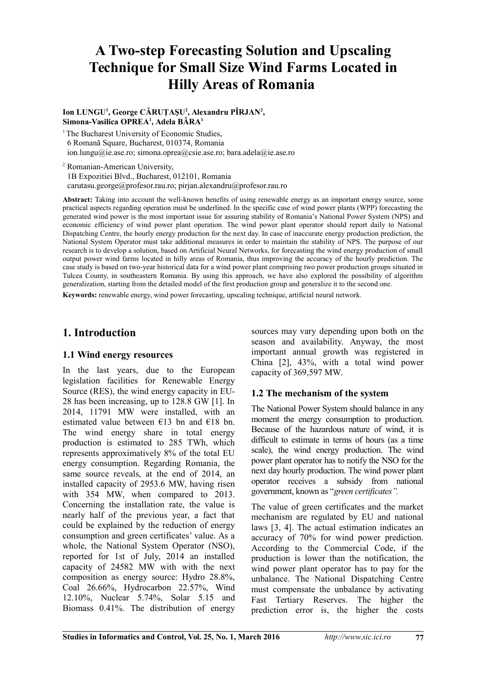# **A Two-step Forecasting Solution and Upscaling Technique for Small Size Wind Farms Located in Hilly Areas of Romania**

**Ion LUNGU<sup>1</sup> , George CĂRUŢAŞU<sup>2</sup> , Alexandru PÎRJAN<sup>2</sup> , Simona-Vasilica OPREA<sup>1</sup> , Adela BÂRA<sup>1</sup>**

<sup>1</sup>The Bucharest University of Economic Studies, 6 Romană Square, Bucharest, 010374, Romania ion.lungu@ie.ase.ro; simona.oprea@csie.ase.ro; bara.adela@ie.ase.ro

2 Romanian-American University, 1B Expozitiei Blvd., Bucharest, 012101, Romania carutasu.george@profesor.rau.ro; pirjan.alexandru@profesor.rau.ro

**Abstract:** Taking into account the well-known benefits of using renewable energy as an important energy source, some practical aspects regarding operation must be underlined. In the specific case of wind power plants (WPP) forecasting the generated wind power is the most important issue for assuring stability of Romania's National Power System (NPS) and economic efficiency of wind power plant operation. The wind power plant operator should report daily to National Dispatching Centre, the hourly energy production for the next day. In case of inaccurate energy production prediction, the National System Operator must take additional measures in order to maintain the stability of NPS. The purpose of our research is to develop a solution, based on Artificial Neural Networks, for forecasting the wind energy production of small output power wind farms located in hilly areas of Romania, thus improving the accuracy of the hourly prediction. The case study is based on two-year historical data for a wind power plant comprising two power production groups situated in Tulcea County, in southeastern Romania. By using this approach, we have also explored the possibility of algorithm generalization, starting from the detailed model of the first production group and generalize it to the second one.

**Keywords:** renewable energy, wind power forecasting, upscaling technique, artificial neural network.

## **1. Introduction**

#### **1.1 Wind energy resources**

In the last years, due to the European legislation facilities for Renewable Energy Source (RES), the wind energy capacity in EU-28 has been increasing, up to 128.8 GW [1]. In 2014, 11791 MW were installed, with an estimated value between  $\epsilon$ 13 bn and  $\epsilon$ 18 bn. The wind energy share in total energy production is estimated to 285 TWh, which represents approximatively 8% of the total EU energy consumption. Regarding Romania, the same source reveals, at the end of 2014, an installed capacity of 2953.6 MW, having risen with 354 MW, when compared to 2013. Concerning the installation rate, the value is nearly half of the previous year, a fact that could be explained by the reduction of energy consumption and green certificates' value. As a whole, the National System Operator (NSO), reported for 1st of July, 2014 an installed capacity of 24582 MW with with the next composition as energy source: Hydro 28.8%, Coal 26.66%, Hydrocarbon 22.57%, Wind 12.10%, Nuclear 5.74%, Solar 5.15 and Biomass 0.41%. The distribution of energy

sources may vary depending upon both on the season and availability. Anyway, the most important annual growth was registered in China [2], 43%, with a total wind power capacity of 369,597 MW.

#### **1.2 The mechanism of the system**

The National Power System should balance in any moment the energy consumption to production. Because of the hazardous nature of wind, it is difficult to estimate in terms of hours (as a time scale), the wind energy production. The wind power plant operator has to notify the NSO for the next day hourly production. The wind power plant operator receives a subsidy from national government, known as "*green certificates".*

The value of green certificates and the market mechanism are regulated by EU and national laws [3, 4]. The actual estimation indicates an accuracy of 70% for wind power prediction. According to the Commercial Code, if the production is lower than the notification, the wind power plant operator has to pay for the unbalance. The National Dispatching Centre must compensate the unbalance by activating Fast Tertiary Reserves. The higher the prediction error is, the higher the costs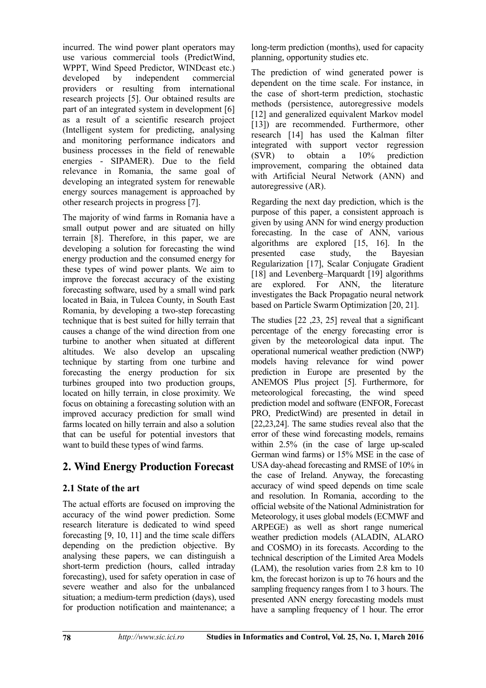incurred. The wind power plant operators may use various commercial tools (PredictWind, WPPT, Wind Speed Predictor, WINDcast etc.) developed by independent commercial providers or resulting from international research projects [5]. Our obtained results are part of an integrated system in development [6] as a result of a scientific research project (Intelligent system for predicting, analysing and monitoring performance indicators and business processes in the field of renewable energies - SIPAMER). Due to the field relevance in Romania, the same goal of developing an integrated system for renewable energy sources management is approached by other research projects in progress [7].

The majority of wind farms in Romania have a small output power and are situated on hilly terrain [8]. Therefore, in this paper, we are developing a solution for forecasting the wind energy production and the consumed energy for these types of wind power plants. We aim to improve the forecast accuracy of the existing forecasting software, used by a small wind park located in Baia, in Tulcea County, in South East Romania, by developing a two-step forecasting technique that is best suited for hilly terrain that causes a change of the wind direction from one turbine to another when situated at different altitudes. We also develop an upscaling technique by starting from one turbine and forecasting the energy production for six turbines grouped into two production groups, located on hilly terrain, in close proximity. We focus on obtaining a forecasting solution with an improved accuracy prediction for small wind farms located on hilly terrain and also a solution that can be useful for potential investors that want to build these types of wind farms.

## **2. Wind Energy Production Forecast**

### **2.1 State of the art**

The actual efforts are focused on improving the accuracy of the wind power prediction. Some research literature is dedicated to wind speed forecasting [9, 10, 11] and the time scale differs depending on the prediction objective. By analysing these papers, we can distinguish a short-term prediction (hours, called intraday forecasting), used for safety operation in case of severe weather and also for the unbalanced situation; a medium-term prediction (days), used for production notification and maintenance; a long-term prediction (months), used for capacity planning, opportunity studies etc.

The prediction of wind generated power is dependent on the time scale. For instance, in the case of short-term prediction, stochastic methods (persistence, autoregressive models [12] and generalized equivalent Markov model [13]) are recommended. Furthermore, other research [14] has used the Kalman filter integrated with support vector regression (SVR) to obtain a 10% prediction improvement, comparing the obtained data with Artificial Neural Network (ANN) and autoregressive (AR).

Regarding the next day prediction, which is the purpose of this paper, a consistent approach is given by using ANN for wind energy production forecasting. In the case of ANN, various algorithms are explored [15, 16]. In the presented case study, the Bayesian Regularization [17], Scalar Conjugate Gradient [18] and Levenberg–Marquardt [19] algorithms are explored. For ANN, the literature investigates the Back Propagatio neural network based on Particle Swarm Optimization [20, 21].

The studies [22 ,23, 25] reveal that a significant percentage of the energy forecasting error is given by the meteorological data input. The operational numerical weather prediction (NWP) models having relevance for wind power prediction in Europe are presented by the ANEMOS Plus project [5]. Furthermore, for meteorological forecasting, the wind speed prediction model and software (ENFOR, Forecast PRO, PredictWind) are presented in detail in [22,23,24]. The same studies reveal also that the error of these wind forecasting models, remains within 2.5% (in the case of large up-scaled German wind farms) or 15% MSE in the case of USA day-ahead forecasting and RMSE of 10% in the case of Ireland. Anyway, the forecasting accuracy of wind speed depends on time scale and resolution. In Romania, according to the official website of the National Administration for Meteorology, it uses global models (ECMWF and ARPEGE) as well as short range numerical weather prediction models (ALADIN, ALARO and COSMO) in its forecasts. According to the technical description of the Limited Area Models (LAM), the resolution varies from 2.8 km to 10 km, the forecast horizon is up to 76 hours and the sampling frequency ranges from 1 to 3 hours. The presented ANN energy forecasting models must have a sampling frequency of 1 hour. The error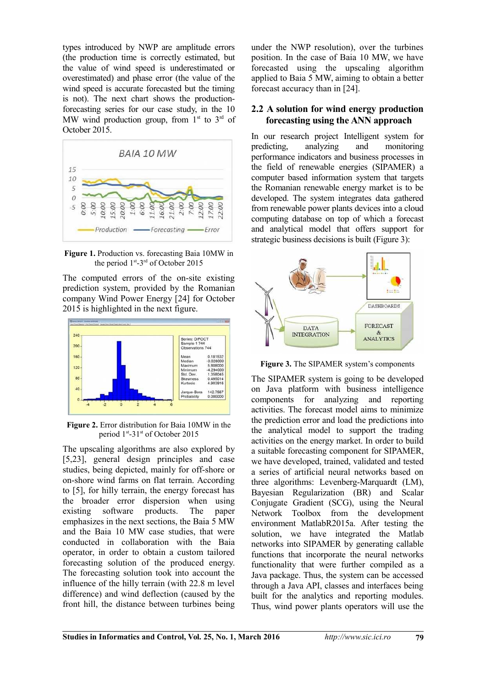types introduced by NWP are amplitude errors (the production time is correctly estimated, but the value of wind speed is underestimated or overestimated) and phase error (the value of the wind speed is accurate forecasted but the timing is not). The next chart shows the productionforecasting series for our case study, in the 10 MW wind production group, from  $1<sup>st</sup>$  to  $3<sup>rd</sup>$  of October 2015.



**Figure 1.** Production vs. forecasting Baia 10MW in the period 1<sup>st</sup>-3<sup>rd</sup> of October 2015

The computed errors of the on-site existing prediction system, provided by the Romanian company Wind Power Energy [24] for October 2015 is highlighted in the next figure.



**Figure 2.** Error distribution for Baia 10MW in the period 1<sup>st</sup>-31<sup>st</sup> of October 2015

The upscaling algorithms are also explored by [5,23], general design principles and case studies, being depicted, mainly for off-shore or on-shore wind farms on flat terrain. According to [5], for hilly terrain, the energy forecast has the broader error dispersion when using existing software products. The paper emphasizes in the next sections, the Baia 5 MW and the Baia 10 MW case studies, that were conducted in collaboration with the Baia operator, in order to obtain a custom tailored forecasting solution of the produced energy. The forecasting solution took into account the influence of the hilly terrain (with 22.8 m level difference) and wind deflection (caused by the front hill, the distance between turbines being under the NWP resolution), over the turbines position. In the case of Baia 10 MW, we have forecasted using the upscaling algorithm applied to Baia 5 MW, aiming to obtain a better forecast accuracy than in [24].

#### **2.2 A solution for wind energy production forecasting using the ANN approach**

In our research project Intelligent system for predicting, analyzing and monitoring performance indicators and business processes in the field of renewable energies (SIPAMER) a computer based information system that targets the Romanian renewable energy market is to be developed. The system integrates data gathered from renewable power plants devices into a cloud computing database on top of which a forecast and analytical model that offers support for strategic business decisions is built (Figure 3):



**Figure 3.** The SIPAMER system's components

The SIPAMER system is going to be developed on Java platform with business intelligence components for analyzing and reporting activities. The forecast model aims to minimize the prediction error and load the predictions into the analytical model to support the trading activities on the energy market. In order to build a suitable forecasting component for SIPAMER, we have developed, trained, validated and tested a series of artificial neural networks based on three algorithms: Levenberg-Marquardt (LM), Bayesian Regularization (BR) and Scalar Conjugate Gradient (SCG), using the Neural Network Toolbox from the development environment MatlabR2015a. After testing the solution, we have integrated the Matlab networks into SIPAMER by generating callable functions that incorporate the neural networks functionality that were further compiled as a Java package. Thus, the system can be accessed through a Java API, classes and interfaces being built for the analytics and reporting modules. Thus, wind power plants operators will use the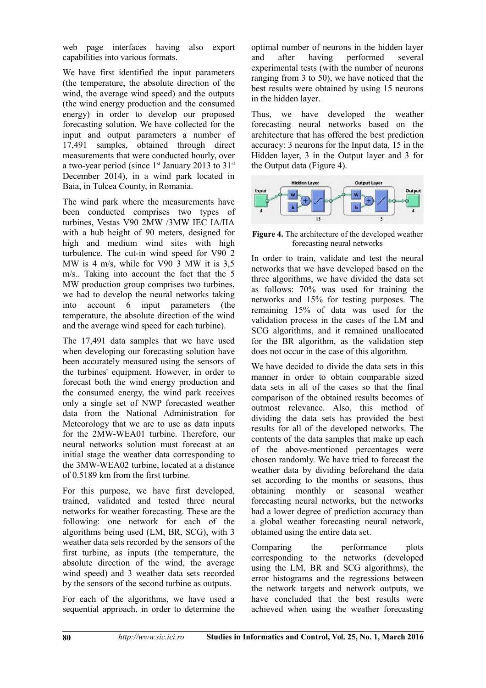web page interfaces having also export capabilities into various formats.

We have first identified the input parameters (the temperature, the absolute direction of the wind, the average wind speed) and the outputs (the wind energy production and the consumed energy) in order to develop our proposed forecasting solution. We have collected for the input and output parameters a number of 17,491 samples, obtained through direct measurements that were conducted hourly, over a two-year period (since  $1<sup>st</sup>$  January 2013 to 31<sup>st</sup> December 2014), in a wind park located in Baia, in Tulcea County, in Romania.

The wind park where the measurements have been conducted comprises two types of turbines, Vestas V90 2MW /3MW IEC IA/IIA with a hub height of 90 meters, designed for high and medium wind sites with high turbulence. The cut-in wind speed for V90 2 MW is 4 m/s, while for V90 3 MW it is 3,5 m/s.. Taking into account the fact that the 5 MW production group comprises two turbines, we had to develop the neural networks taking into account 6 input parameters (the temperature, the absolute direction of the wind and the average wind speed for each turbine).

The 17,491 data samples that we have used when developing our forecasting solution have been accurately measured using the sensors of the turbines' equipment. However, in order to forecast both the wind energy production and the consumed energy, the wind park receives only a single set of NWP forecasted weather data from the National Administration for Meteorology that we are to use as data inputs for the 2MW-WEA01 turbine. Therefore, our neural networks solution must forecast at an initial stage the weather data corresponding to the 3MW-WEA02 turbine, located at a distance of 0.5189 km from the first turbine.

For this purpose, we have first developed, trained, validated and tested three neural networks for weather forecasting. These are the following: one network for each of the algorithms being used (LM, BR, SCG), with 3 weather data sets recorded by the sensors of the first turbine, as inputs (the temperature, the absolute direction of the wind, the average wind speed) and 3 weather data sets recorded by the sensors of the second turbine as outputs.

For each of the algorithms, we have used a sequential approach, in order to determine the optimal number of neurons in the hidden layer and after having performed several experimental tests (with the number of neurons ranging from 3 to 50), we have noticed that the best results were obtained by using 15 neurons in the hidden layer.

Thus, we have developed the weather forecasting neural networks based on the architecture that has offered the best prediction accuracy: 3 neurons for the Input data, 15 in the Hidden layer, 3 in the Output layer and 3 for the Output data (Figure 4).



**Figure 4.** The architecture of the developed weather forecasting neural networks

In order to train, validate and test the neural networks that we have developed based on the three algorithms, we have divided the data set as follows: 70% was used for training the networks and 15% for testing purposes. The remaining 15% of data was used for the validation process in the cases of the LM and SCG algorithms, and it remained unallocated for the BR algorithm, as the validation step does not occur in the case of this algorithm.

We have decided to divide the data sets in this manner in order to obtain comparable sized data sets in all of the cases so that the final comparison of the obtained results becomes of outmost relevance. Also, this method of dividing the data sets has provided the best results for all of the developed networks. The contents of the data samples that make up each of the above-mentioned percentages were chosen randomly. We have tried to forecast the weather data by dividing beforehand the data set according to the months or seasons, thus obtaining monthly or seasonal weather forecasting neural networks, but the networks had a lower degree of prediction accuracy than a global weather forecasting neural network, obtained using the entire data set.

Comparing the performance plots corresponding to the networks (developed using the LM, BR and SCG algorithms), the error histograms and the regressions between the network targets and network outputs, we have concluded that the best results were achieved when using the weather forecasting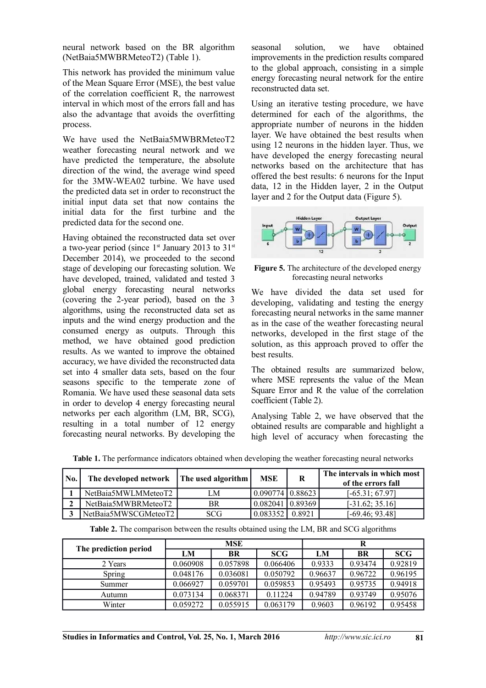neural network based on the BR algorithm (NetBaia5MWBRMeteoT2) (Table 1).

This network has provided the minimum value of the Mean Square Error (MSE), the best value of the correlation coefficient R, the narrowest interval in which most of the errors fall and has also the advantage that avoids the overfitting process.

We have used the NetBaia5MWBRMeteoT2 weather forecasting neural network and we have predicted the temperature, the absolute direction of the wind, the average wind speed for the 3MW-WEA02 turbine. We have used the predicted data set in order to reconstruct the initial input data set that now contains the initial data for the first turbine and the predicted data for the second one.

Having obtained the reconstructed data set over a two-year period (since  $1<sup>st</sup>$  January 2013 to 31<sup>st</sup> December 2014), we proceeded to the second stage of developing our forecasting solution. We have developed, trained, validated and tested 3 global energy forecasting neural networks (covering the 2-year period), based on the 3 algorithms, using the reconstructed data set as inputs and the wind energy production and the consumed energy as outputs. Through this method, we have obtained good prediction results. As we wanted to improve the obtained accuracy, we have divided the reconstructed data set into 4 smaller data sets, based on the four seasons specific to the temperate zone of Romania. We have used these seasonal data sets in order to develop 4 energy forecasting neural networks per each algorithm (LM, BR, SCG), resulting in a total number of 12 energy forecasting neural networks. By developing the seasonal solution, we have obtained improvements in the prediction results compared to the global approach, consisting in a simple energy forecasting neural network for the entire reconstructed data set.

Using an iterative testing procedure, we have determined for each of the algorithms, the appropriate number of neurons in the hidden layer. We have obtained the best results when using 12 neurons in the hidden layer. Thus, we have developed the energy forecasting neural networks based on the architecture that has offered the best results: 6 neurons for the Input data, 12 in the Hidden layer, 2 in the Output layer and 2 for the Output data (Figure 5).



**Figure 5.** The architecture of the developed energy forecasting neural networks

We have divided the data set used for developing, validating and testing the energy forecasting neural networks in the same manner as in the case of the weather forecasting neural networks, developed in the first stage of the solution, as this approach proved to offer the best results.

The obtained results are summarized below, where MSE represents the value of the Mean Square Error and R the value of the correlation coefficient (Table 2).

Analysing Table 2, we have observed that the obtained results are comparable and highlight a high level of accuracy when forecasting the

| No. | The developed network | The used algorithm | <b>MSE</b>                           | R      | The intervals in which most<br>of the errors fall |
|-----|-----------------------|--------------------|--------------------------------------|--------|---------------------------------------------------|
|     | NetBaia5MWLMMeteoT2   | M                  | $\vert 0.090774 \vert 0.88623 \vert$ |        | $[-65.31; 67.97]$                                 |
|     | NetBaia5MWBRMeteoT2   | BR                 | 0.08204110.89369                     |        | $[-31.62; 35.16]$                                 |
|     | NetBaia5MWSCGMeteoT2  | <b>SCG</b>         | 0.083352                             | 0.8921 | $[-69.46; 93.48]$                                 |

**Table 1.** The performance indicators obtained when developing the weather forecasting neural networks

**Table 2.** The comparison between the results obtained using the LM, BR and SCG algorithms

|                       | <b>MSE</b> |           |            | R       |         |            |
|-----------------------|------------|-----------|------------|---------|---------|------------|
| The prediction period | LM         | <b>BR</b> | <b>SCG</b> | LM      | BR      | <b>SCG</b> |
| 2 Years               | 0.060908   | 0.057898  | 0.066406   | 0.9333  | 0.93474 | 0.92819    |
| Spring                | 0.048176   | 0.036081  | 0.050792   | 0.96637 | 0.96722 | 0.96195    |
| Summer                | 0.066927   | 0.059701  | 0.059853   | 0.95493 | 0.95735 | 0.94918    |
| Autumn                | 0.073134   | 0.068371  | 0.11224    | 0.94789 | 0.93749 | 0.95076    |
| Winter                | 0.059272   | 0.055915  | 0.063179   | 0.9603  | 0.96192 | 0.95458    |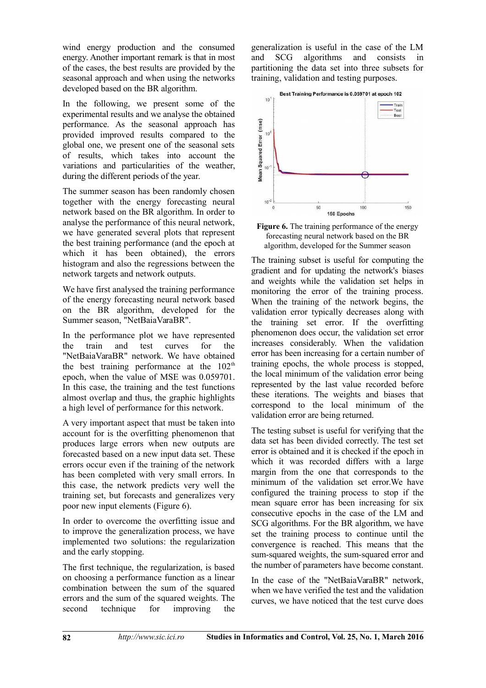wind energy production and the consumed energy. Another important remark is that in most of the cases, the best results are provided by the seasonal approach and when using the networks developed based on the BR algorithm.

In the following, we present some of the experimental results and we analyse the obtained performance. As the seasonal approach has provided improved results compared to the global one, we present one of the seasonal sets of results, which takes into account the variations and particularities of the weather, during the different periods of the year.

The summer season has been randomly chosen together with the energy forecasting neural network based on the BR algorithm. In order to analyse the performance of this neural network, we have generated several plots that represent the best training performance (and the epoch at which it has been obtained), the errors histogram and also the regressions between the network targets and network outputs.

We have first analysed the training performance of the energy forecasting neural network based on the BR algorithm, developed for the Summer season, "NetBaiaVaraBR".

In the performance plot we have represented the train and test curves for the "NetBaiaVaraBR" network. We have obtained the best training performance at the  $102<sup>th</sup>$ epoch, when the value of MSE was 0.059701. In this case, the training and the test functions almost overlap and thus, the graphic highlights a high level of performance for this network.

A very important aspect that must be taken into account for is the overfitting phenomenon that produces large errors when new outputs are forecasted based on a new input data set. These errors occur even if the training of the network has been completed with very small errors. In this case, the network predicts very well the training set, but forecasts and generalizes very poor new input elements (Figure 6).

In order to overcome the overfitting issue and to improve the generalization process, we have implemented two solutions: the regularization and the early stopping.

The first technique, the regularization, is based on choosing a performance function as a linear combination between the sum of the squared errors and the sum of the squared weights. The second technique for improving the

generalization is useful in the case of the LM and SCG algorithms and consists in partitioning the data set into three subsets for training, validation and testing purposes.



**Figure 6.** The training performance of the energy forecasting neural network based on the BR algorithm, developed for the Summer season

The training subset is useful for computing the gradient and for updating the network's biases and weights while the validation set helps in monitoring the error of the training process. When the training of the network begins, the validation error typically decreases along with the training set error. If the overfitting phenomenon does occur, the validation set error increases considerably. When the validation error has been increasing for a certain number of training epochs, the whole process is stopped, the local minimum of the validation error being represented by the last value recorded before these iterations. The weights and biases that correspond to the local minimum of the validation error are being returned.

The testing subset is useful for verifying that the data set has been divided correctly. The test set error is obtained and it is checked if the epoch in which it was recorded differs with a large margin from the one that corresponds to the minimum of the validation set error.We have configured the training process to stop if the mean square error has been increasing for six consecutive epochs in the case of the LM and SCG algorithms. For the BR algorithm, we have set the training process to continue until the convergence is reached. This means that the sum-squared weights, the sum-squared error and the number of parameters have become constant.

In the case of the "NetBaiaVaraBR" network, when we have verified the test and the validation curves, we have noticed that the test curve does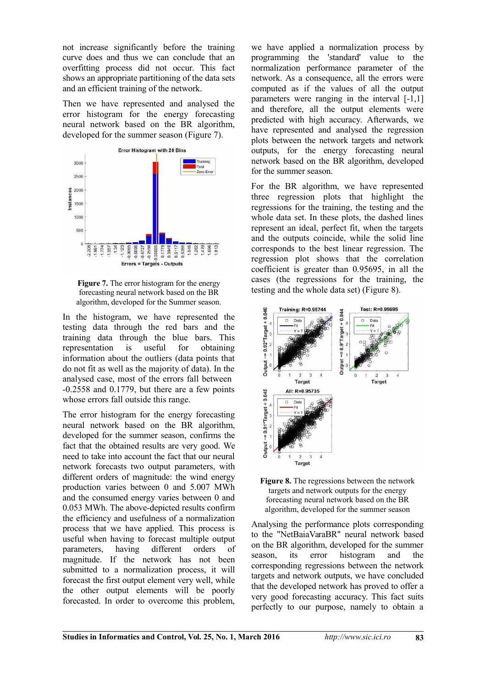not increase significantly before the training curve does and thus we can conclude that an overfitting process did not occur. This fact shows an appropriate partitioning of the data sets and an efficient training of the network.

Then we have represented and analysed the error histogram for the energy forecasting neural network based on the BR algorithm, developed for the summer season (Figure 7).





In the histogram, we have represented the testing data through the red bars and the training data through the blue bars. This representation is useful for obtaining information about the outliers (data points that do not fit as well as the majority of data). In the analysed case, most of the errors fall between -0.2558 and 0.1779, but there are a few points whose errors fall outside this range.

The error histogram for the energy forecasting neural network based on the BR algorithm, developed for the summer season, confirms the fact that the obtained results are very good. We need to take into account the fact that our neural network forecasts two output parameters, with different orders of magnitude: the wind energy production varies between 0 and 5.007 MWh and the consumed energy varies between 0 and 0.053 MWh. The above-depicted results confirm the efficiency and usefulness of a normalization process that we have applied. This process is useful when having to forecast multiple output parameters, having different orders of magnitude. If the network has not been submitted to a normalization process, it will forecast the first output element very well, while the other output elements will be poorly forecasted. In order to overcome this problem,

we have applied a normalization process by programming the 'standard' value to the normalization performance parameter of the network. As a consequence, all the errors were computed as if the values of all the output parameters were ranging in the interval [-1,1] and therefore, all the output elements were predicted with high accuracy. Afterwards, we have represented and analysed the regression plots between the network targets and network outputs, for the energy forecasting neural network based on the BR algorithm, developed for the summer season.

For the BR algorithm, we have represented three regression plots that highlight the regressions for the training, the testing and the whole data set. In these plots, the dashed lines represent an ideal, perfect fit, when the targets and the outputs coincide, while the solid line corresponds to the best linear regression. The regression plot shows that the correlation coefficient is greater than 0.95695, in all the cases (the regressions for the training, the testing and the whole data set) (Figure 8).





Analysing the performance plots corresponding to the "NetBaiaVaraBR" neural network based on the BR algorithm, developed for the summer season, its error histogram and the corresponding regressions between the network targets and network outputs, we have concluded that the developed network has proved to offer a very good forecasting accuracy. This fact suits perfectly to our purpose, namely to obtain a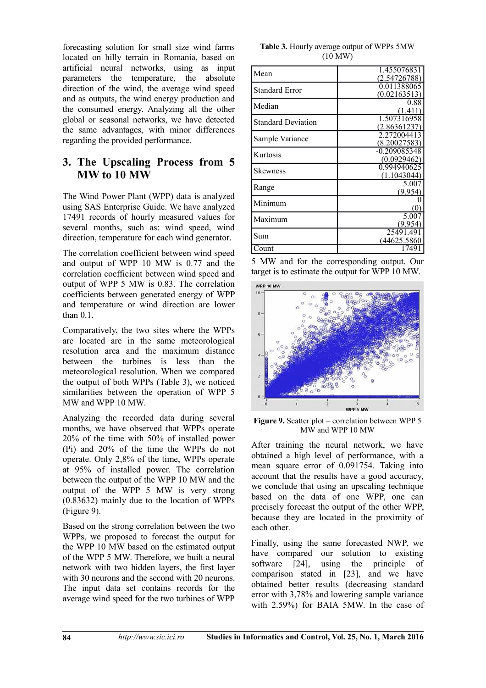forecasting solution for small size wind farms located on hilly terrain in Romania, based on artificial neural networks, using as input parameters the temperature, the absolute direction of the wind, the average wind speed and as outputs, the wind energy production and the consumed energy. Analyzing all the other global or seasonal networks, we have detected the same advantages, with minor differences regarding the provided performance.

## **3. The Upscaling Process from 5 MW to 10 MW**

The Wind Power Plant (WPP) data is analyzed using SAS Enterprise Guide. We have analyzed 17491 records of hourly measured values for several months, such as: wind speed, wind direction, temperature for each wind generator.

The correlation coefficient between wind speed and output of WPP 10 MW is 0.77 and the correlation coefficient between wind speed and output of WPP 5 MW is 0.83. The correlation coefficients between generated energy of WPP and temperature or wind direction are lower than 0.1.

Comparatively, the two sites where the WPPs are located are in the same meteorological resolution area and the maximum distance between the turbines is less than the meteorological resolution. When we compared the output of both WPPs (Table 3), we noticed similarities between the operation of WPP 5 MW and WPP 10 MW.

Analyzing the recorded data during several months, we have observed that WPPs operate 20% of the time with 50% of installed power (Pi) and 20% of the time the WPPs do not operate. Only 2,8% of the time, WPPs operate at 95% of installed power. The correlation between the output of the WPP 10 MW and the output of the WPP 5 MW is very strong (0.83632) mainly due to the location of WPPs (Figure 9).

Based on the strong correlation between the two WPPs, we proposed to forecast the output for the WPP 10 MW based on the estimated output of the WPP 5 MW. Therefore, we built a neural network with two hidden layers, the first layer with 30 neurons and the second with 20 neurons. The input data set contains records for the average wind speed for the two turbines of WPP

**Table 3.** Hourly average output of WPPs 5MW (10 MW)

| Mean                      | 1.455076831<br>2.54726788   |
|---------------------------|-----------------------------|
| <b>Standard Error</b>     | 0.011388065<br>(0.02163513) |
| Median                    | 0.88                        |
| <b>Standard Deviation</b> | 1.507316958<br>2.8636123    |
| Sample Variance           | 2.27200441<br>8.20027583    |
| Kurtosis                  | -0.209085348<br>(0.0929462  |
| <b>Skewness</b>           | 0.994940625<br>(1.1043044)  |
| Range                     | 5.007<br>(9.954             |
| Minimum                   |                             |
| Maximum                   | 50<br>(9 95                 |
| Sum                       | 25491.491<br>(44625.5860    |
| Count                     | 1749                        |

5 MW and for the corresponding output. Our target is to estimate the output for WPP 10 MW.



Figure 9. Scatter plot – correlation between WPP 5 MW and WPP 10 MW

After training the neural network, we have obtained a high level of performance, with a mean square error of 0.091754. Taking into account that the results have a good accuracy, we conclude that using an upscaling technique based on the data of one WPP, one can precisely forecast the output of the other WPP, because they are located in the proximity of each other.

Finally, using the same forecasted NWP, we have compared our solution to existing software [24], using the principle of comparison stated in [23], and we have obtained better results (decreasing standard error with 3,78% and lowering sample variance with 2.59%) for BAIA 5MW. In the case of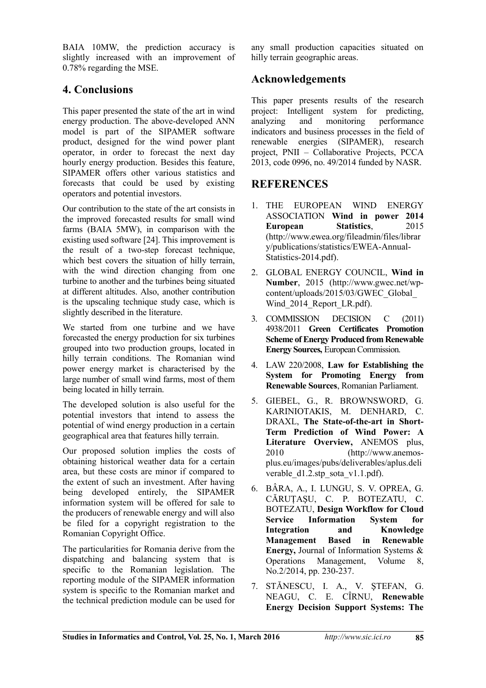BAIA 10MW, the prediction accuracy is slightly increased with an improvement of 0.78% regarding the MSE.

## **4. Conclusions**

This paper presented the state of the art in wind energy production. The above-developed ANN model is part of the SIPAMER software product, designed for the wind power plant operator, in order to forecast the next day hourly energy production. Besides this feature, SIPAMER offers other various statistics and forecasts that could be used by existing operators and potential investors.

Our contribution to the state of the art consists in the improved forecasted results for small wind farms (BAIA 5MW), in comparison with the existing used software [24]. This improvement is the result of a two-step forecast technique, which best covers the situation of hilly terrain, with the wind direction changing from one turbine to another and the turbines being situated at different altitudes. Also, another contribution is the upscaling technique study case, which is slightly described in the literature.

We started from one turbine and we have forecasted the energy production for six turbines grouped into two production groups, located in hilly terrain conditions. The Romanian wind power energy market is characterised by the large number of small wind farms, most of them being located in hilly terrain.

The developed solution is also useful for the potential investors that intend to assess the potential of wind energy production in a certain geographical area that features hilly terrain.

Our proposed solution implies the costs of obtaining historical weather data for a certain area, but these costs are minor if compared to the extent of such an investment. After having being developed entirely, the SIPAMER information system will be offered for sale to the producers of renewable energy and will also be filed for a copyright registration to the Romanian Copyright Office.

The particularities for Romania derive from the dispatching and balancing system that is specific to the Romanian legislation. The reporting module of the SIPAMER information system is specific to the Romanian market and the technical prediction module can be used for any small production capacities situated on hilly terrain geographic areas.

## **Acknowledgements**

This paper presents results of the research project: Intelligent system for predicting, analyzing and monitoring performance indicators and business processes in the field of renewable energies (SIPAMER), research project, PNII – Collaborative Projects, PCCA 2013, code 0996, no. 49/2014 funded by NASR.

## **REFERENCES**

- 1. THE EUROPEAN WIND ENERGY ASSOCIATION **Wind in power 2014 European Statistics**, 2015 (http://www.ewea.org/fileadmin/files/librar y/publications/statistics/EWEA-Annual-Statistics-2014.pdf).
- 2. GLOBAL ENERGY COUNCIL, **Wind in Number**, 2015 (http://www.gwec.net/wpcontent/uploads/2015/03/GWEC\_Global\_ Wind 2014 Report LR.pdf).
- 3. COMMISSION DECISION C (2011) 4938/2011 **Green Certificates Promotion Scheme of Energy Produced from Renewable Energy Sources,** European Commission.
- 4. LAW 220/2008, **Law for Establishing the System for Promoting Energy from Renewable Sources**, Romanian Parliament.
- 5. GIEBEL, G., R. BROWNSWORD, G. KARINIOTAKIS, M. DENHARD, C. DRAXL, **The State-of-the-art in Short-Term Prediction of Wind Power: A Literature Overview,** ANEMOS plus, 2010 (http://www.anemosplus.eu/images/pubs/deliverables/aplus.deli verable d1.2.stp sota v1.1.pdf).
- 6. BÂRA, A., I. LUNGU, S. V. OPREA, G. CĂRUŢAŞU, C. P. BOTEZATU, C. BOTEZATU, **Design Workflow for Cloud Service Information System for Integration and Knowledge Management Based in Renewable Energy,** Journal of Information Systems & Operations Management, Volume 8, No.2/2014, pp. 230-237.
- 7. STĂNESCU, I. A., V. ŞTEFAN, G. NEAGU, C. E. CÎRNU, **Renewable Energy Decision Support Systems: The**